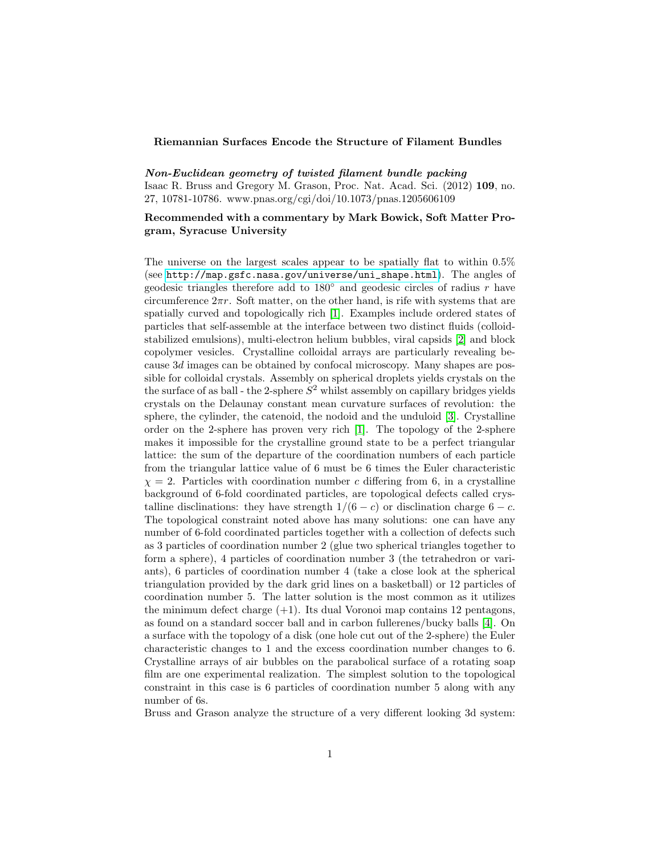## Riemannian Surfaces Encode the Structure of Filament Bundles

Non-Euclidean geometry of twisted filament bundle packing Isaac R. Bruss and Gregory M. Grason, Proc. Nat. Acad. Sci. (2012) 109, no. 27, 10781-10786. www.pnas.org/cgi/doi/10.1073/pnas.1205606109

## Recommended with a commentary by Mark Bowick, Soft Matter Program, Syracuse University

The universe on the largest scales appear to be spatially flat to within 0.5% (see [http://map.gsfc.nasa.gov/universe/uni\\_shape.html](http://map.gsfc.nasa.gov/universe/uni_shape.html)). The angles of geodesic triangles therefore add to  $180°$  and geodesic circles of radius r have circumference  $2\pi r$ . Soft matter, on the other hand, is rife with systems that are spatially curved and topologically rich [\[1\]](#page-1-0). Examples include ordered states of particles that self-assemble at the interface between two distinct fluids (colloidstabilized emulsions), multi-electron helium bubbles, viral capsids [\[2\]](#page-2-0) and block copolymer vesicles. Crystalline colloidal arrays are particularly revealing because 3d images can be obtained by confocal microscopy. Many shapes are possible for colloidal crystals. Assembly on spherical droplets yields crystals on the the surface of as ball - the 2-sphere  $S^2$  whilst assembly on capillary bridges yields crystals on the Delaunay constant mean curvature surfaces of revolution: the sphere, the cylinder, the catenoid, the nodoid and the unduloid [\[3\]](#page-2-1). Crystalline order on the 2-sphere has proven very rich [\[1\]](#page-1-0). The topology of the 2-sphere makes it impossible for the crystalline ground state to be a perfect triangular lattice: the sum of the departure of the coordination numbers of each particle from the triangular lattice value of 6 must be 6 times the Euler characteristic  $\chi = 2$ . Particles with coordination number c differing from 6, in a crystalline background of 6-fold coordinated particles, are topological defects called crystalline disclinations: they have strength  $1/(6 - c)$  or disclination charge  $6 - c$ . The topological constraint noted above has many solutions: one can have any number of 6-fold coordinated particles together with a collection of defects such as 3 particles of coordination number 2 (glue two spherical triangles together to form a sphere), 4 particles of coordination number 3 (the tetrahedron or variants), 6 particles of coordination number 4 (take a close look at the spherical triangulation provided by the dark grid lines on a basketball) or 12 particles of coordination number 5. The latter solution is the most common as it utilizes the minimum defect charge  $(+1)$ . Its dual Voronoi map contains 12 pentagons, as found on a standard soccer ball and in carbon fullerenes/bucky balls [\[4\]](#page-2-2). On a surface with the topology of a disk (one hole cut out of the 2-sphere) the Euler characteristic changes to 1 and the excess coordination number changes to 6. Crystalline arrays of air bubbles on the parabolical surface of a rotating soap film are one experimental realization. The simplest solution to the topological constraint in this case is 6 particles of coordination number 5 along with any number of 6s.

Bruss and Grason analyze the structure of a very different looking 3d system: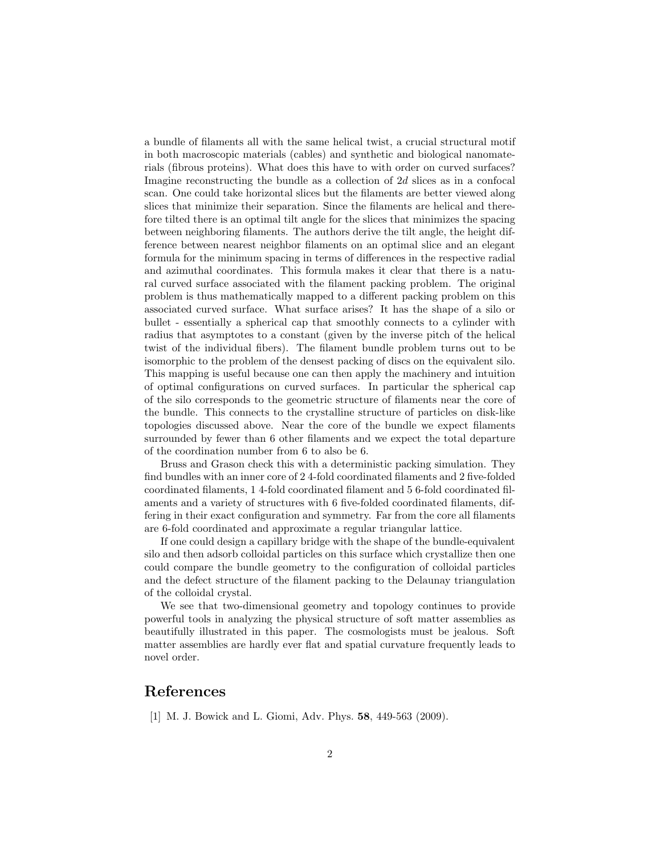a bundle of filaments all with the same helical twist, a crucial structural motif in both macroscopic materials (cables) and synthetic and biological nanomaterials (fibrous proteins). What does this have to with order on curved surfaces? Imagine reconstructing the bundle as a collection of 2d slices as in a confocal scan. One could take horizontal slices but the filaments are better viewed along slices that minimize their separation. Since the filaments are helical and therefore tilted there is an optimal tilt angle for the slices that minimizes the spacing between neighboring filaments. The authors derive the tilt angle, the height difference between nearest neighbor filaments on an optimal slice and an elegant formula for the minimum spacing in terms of differences in the respective radial and azimuthal coordinates. This formula makes it clear that there is a natural curved surface associated with the filament packing problem. The original problem is thus mathematically mapped to a different packing problem on this associated curved surface. What surface arises? It has the shape of a silo or bullet - essentially a spherical cap that smoothly connects to a cylinder with radius that asymptotes to a constant (given by the inverse pitch of the helical twist of the individual fibers). The filament bundle problem turns out to be isomorphic to the problem of the densest packing of discs on the equivalent silo. This mapping is useful because one can then apply the machinery and intuition of optimal configurations on curved surfaces. In particular the spherical cap of the silo corresponds to the geometric structure of filaments near the core of the bundle. This connects to the crystalline structure of particles on disk-like topologies discussed above. Near the core of the bundle we expect filaments surrounded by fewer than 6 other filaments and we expect the total departure of the coordination number from 6 to also be 6.

Bruss and Grason check this with a deterministic packing simulation. They find bundles with an inner core of 2 4-fold coordinated filaments and 2 five-folded coordinated filaments, 1 4-fold coordinated filament and 5 6-fold coordinated filaments and a variety of structures with 6 five-folded coordinated filaments, differing in their exact configuration and symmetry. Far from the core all filaments are 6-fold coordinated and approximate a regular triangular lattice.

If one could design a capillary bridge with the shape of the bundle-equivalent silo and then adsorb colloidal particles on this surface which crystallize then one could compare the bundle geometry to the configuration of colloidal particles and the defect structure of the filament packing to the Delaunay triangulation of the colloidal crystal.

We see that two-dimensional geometry and topology continues to provide powerful tools in analyzing the physical structure of soft matter assemblies as beautifully illustrated in this paper. The cosmologists must be jealous. Soft matter assemblies are hardly ever flat and spatial curvature frequently leads to novel order.

## References

<span id="page-1-0"></span>[1] M. J. Bowick and L. Giomi, Adv. Phys. **58**, 449-563 (2009).